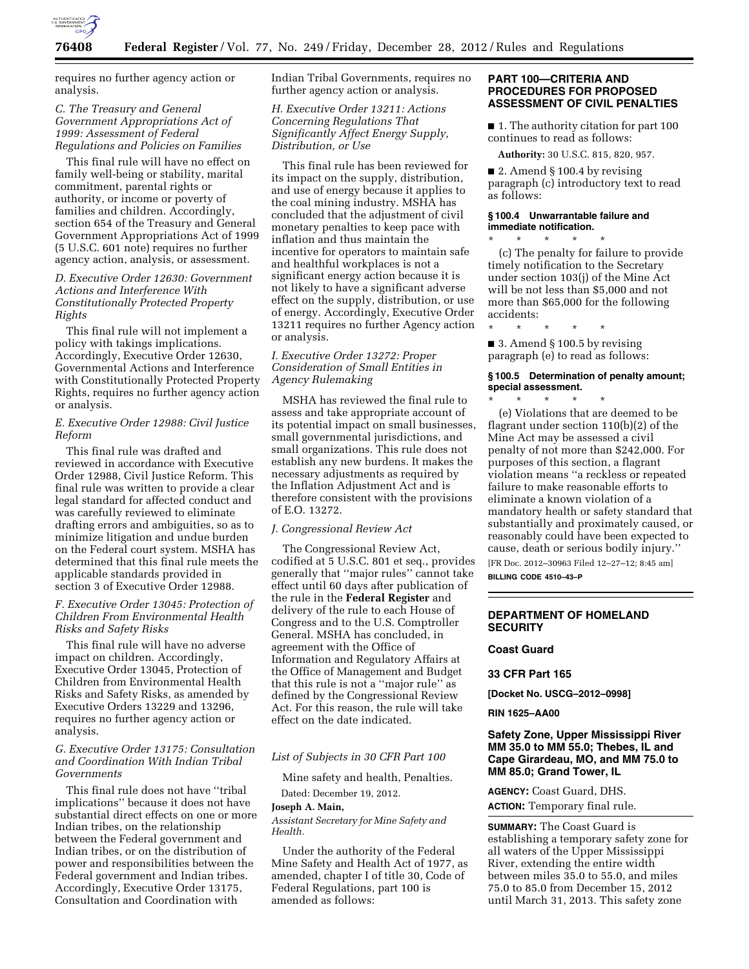

requires no further agency action or analysis.

## *C. The Treasury and General Government Appropriations Act of 1999: Assessment of Federal Regulations and Policies on Families*

This final rule will have no effect on family well-being or stability, marital commitment, parental rights or authority, or income or poverty of families and children. Accordingly, section 654 of the Treasury and General Government Appropriations Act of 1999 (5 U.S.C. 601 note) requires no further agency action, analysis, or assessment.

# *D. Executive Order 12630: Government Actions and Interference With Constitutionally Protected Property Rights*

This final rule will not implement a policy with takings implications. Accordingly, Executive Order 12630, Governmental Actions and Interference with Constitutionally Protected Property Rights, requires no further agency action or analysis.

## *E. Executive Order 12988: Civil Justice Reform*

This final rule was drafted and reviewed in accordance with Executive Order 12988, Civil Justice Reform. This final rule was written to provide a clear legal standard for affected conduct and was carefully reviewed to eliminate drafting errors and ambiguities, so as to minimize litigation and undue burden on the Federal court system. MSHA has determined that this final rule meets the applicable standards provided in section 3 of Executive Order 12988.

# *F. Executive Order 13045: Protection of Children From Environmental Health Risks and Safety Risks*

This final rule will have no adverse impact on children. Accordingly, Executive Order 13045, Protection of Children from Environmental Health Risks and Safety Risks, as amended by Executive Orders 13229 and 13296, requires no further agency action or analysis.

## *G. Executive Order 13175: Consultation and Coordination With Indian Tribal Governments*

This final rule does not have ''tribal implications'' because it does not have substantial direct effects on one or more Indian tribes, on the relationship between the Federal government and Indian tribes, or on the distribution of power and responsibilities between the Federal government and Indian tribes. Accordingly, Executive Order 13175, Consultation and Coordination with

Indian Tribal Governments, requires no further agency action or analysis.

*H. Executive Order 13211: Actions Concerning Regulations That Significantly Affect Energy Supply, Distribution, or Use* 

This final rule has been reviewed for its impact on the supply, distribution, and use of energy because it applies to the coal mining industry. MSHA has concluded that the adjustment of civil monetary penalties to keep pace with inflation and thus maintain the incentive for operators to maintain safe and healthful workplaces is not a significant energy action because it is not likely to have a significant adverse effect on the supply, distribution, or use of energy. Accordingly, Executive Order 13211 requires no further Agency action or analysis.

# *I. Executive Order 13272: Proper Consideration of Small Entities in Agency Rulemaking*

MSHA has reviewed the final rule to assess and take appropriate account of its potential impact on small businesses, small governmental jurisdictions, and small organizations. This rule does not establish any new burdens. It makes the necessary adjustments as required by the Inflation Adjustment Act and is therefore consistent with the provisions of E.O. 13272.

#### *J. Congressional Review Act*

The Congressional Review Act, codified at 5 U.S.C. 801 et seq., provides generally that ''major rules'' cannot take effect until 60 days after publication of the rule in the **Federal Register** and delivery of the rule to each House of Congress and to the U.S. Comptroller General. MSHA has concluded, in agreement with the Office of Information and Regulatory Affairs at the Office of Management and Budget that this rule is not a ''major rule'' as defined by the Congressional Review Act. For this reason, the rule will take effect on the date indicated.

## *List of Subjects in 30 CFR Part 100*

Mine safety and health, Penalties.

# Dated: December 19, 2012.

## **Joseph A. Main,**

*Assistant Secretary for Mine Safety and Health.* 

Under the authority of the Federal Mine Safety and Health Act of 1977, as amended, chapter I of title 30, Code of Federal Regulations, part 100 is amended as follows:

## **PART 100—CRITERIA AND PROCEDURES FOR PROPOSED ASSESSMENT OF CIVIL PENALTIES**

■ 1. The authority citation for part 100 continues to read as follows:

**Authority:** 30 U.S.C. 815, 820, 957.

■ 2. Amend § 100.4 by revising paragraph (c) introductory text to read as follows:

#### **§ 100.4 Unwarrantable failure and immediate notification.**  \* \* \* \* \*

(c) The penalty for failure to provide timely notification to the Secretary under section 103(j) of the Mine Act will be not less than \$5,000 and not more than \$65,000 for the following accidents:

\* \* \* \* \*

■ 3. Amend § 100.5 by revising paragraph (e) to read as follows:

## **§ 100.5 Determination of penalty amount; special assessment.**

\* \* \* \* \* (e) Violations that are deemed to be flagrant under section 110(b)(2) of the Mine Act may be assessed a civil penalty of not more than \$242,000. For purposes of this section, a flagrant violation means ''a reckless or repeated failure to make reasonable efforts to eliminate a known violation of a mandatory health or safety standard that substantially and proximately caused, or reasonably could have been expected to cause, death or serious bodily injury.''

[FR Doc. 2012–30963 Filed 12–27–12; 8:45 am] **BILLING CODE 4510–43–P** 

#### **DEPARTMENT OF HOMELAND SECURITY**

## **Coast Guard**

#### **33 CFR Part 165**

**[Docket No. USCG–2012–0998]** 

#### **RIN 1625–AA00**

# **Safety Zone, Upper Mississippi River MM 35.0 to MM 55.0; Thebes, IL and Cape Girardeau, MO, and MM 75.0 to MM 85.0; Grand Tower, IL**

# **AGENCY:** Coast Guard, DHS.

**ACTION:** Temporary final rule.

**SUMMARY:** The Coast Guard is establishing a temporary safety zone for all waters of the Upper Mississippi River, extending the entire width between miles 35.0 to 55.0, and miles 75.0 to 85.0 from December 15, 2012 until March 31, 2013. This safety zone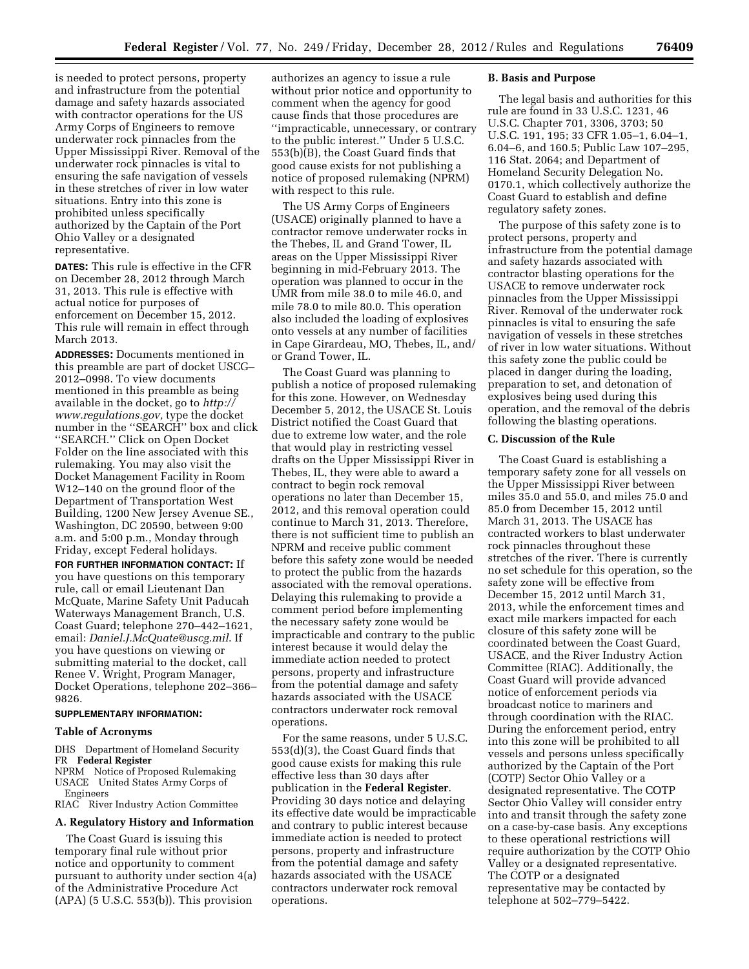is needed to protect persons, property and infrastructure from the potential damage and safety hazards associated with contractor operations for the US Army Corps of Engineers to remove underwater rock pinnacles from the Upper Mississippi River. Removal of the underwater rock pinnacles is vital to ensuring the safe navigation of vessels in these stretches of river in low water situations. Entry into this zone is prohibited unless specifically authorized by the Captain of the Port Ohio Valley or a designated representative.

**DATES:** This rule is effective in the CFR on December 28, 2012 through March 31, 2013. This rule is effective with actual notice for purposes of enforcement on December 15, 2012. This rule will remain in effect through March 2013.

**ADDRESSES:** Documents mentioned in this preamble are part of docket USCG– 2012–0998. To view documents mentioned in this preamble as being available in the docket, go to *http:// www.regulations.gov,* type the docket number in the ''SEARCH'' box and click ''SEARCH.'' Click on Open Docket Folder on the line associated with this rulemaking. You may also visit the Docket Management Facility in Room W12–140 on the ground floor of the Department of Transportation West Building, 1200 New Jersey Avenue SE., Washington, DC 20590, between 9:00 a.m. and 5:00 p.m., Monday through Friday, except Federal holidays.

**FOR FURTHER INFORMATION CONTACT:** If you have questions on this temporary rule, call or email Lieutenant Dan McQuate, Marine Safety Unit Paducah Waterways Management Branch, U.S. Coast Guard; telephone 270–442–1621, email: *Daniel.J.McQuate@uscg.mil*. If you have questions on viewing or submitting material to the docket, call Renee V. Wright, Program Manager, Docket Operations, telephone 202–366– 9826.

# **SUPPLEMENTARY INFORMATION:**

#### **Table of Acronyms**

DHS Department of Homeland Security FR **Federal Register** 

NPRM Notice of Proposed Rulemaking USACE United States Army Corps of Engineers

RIAC River Industry Action Committee

#### **A. Regulatory History and Information**

The Coast Guard is issuing this temporary final rule without prior notice and opportunity to comment pursuant to authority under section 4(a) of the Administrative Procedure Act (APA) (5 U.S.C. 553(b)). This provision

authorizes an agency to issue a rule without prior notice and opportunity to comment when the agency for good cause finds that those procedures are ''impracticable, unnecessary, or contrary to the public interest.'' Under 5 U.S.C. 553(b)(B), the Coast Guard finds that good cause exists for not publishing a notice of proposed rulemaking (NPRM) with respect to this rule.

The US Army Corps of Engineers (USACE) originally planned to have a contractor remove underwater rocks in the Thebes, IL and Grand Tower, IL areas on the Upper Mississippi River beginning in mid-February 2013. The operation was planned to occur in the UMR from mile 38.0 to mile 46.0, and mile 78.0 to mile 80.0. This operation also included the loading of explosives onto vessels at any number of facilities in Cape Girardeau, MO, Thebes, IL, and/ or Grand Tower, IL.

The Coast Guard was planning to publish a notice of proposed rulemaking for this zone. However, on Wednesday December 5, 2012, the USACE St. Louis District notified the Coast Guard that due to extreme low water, and the role that would play in restricting vessel drafts on the Upper Mississippi River in Thebes, IL, they were able to award a contract to begin rock removal operations no later than December 15, 2012, and this removal operation could continue to March 31, 2013. Therefore, there is not sufficient time to publish an NPRM and receive public comment before this safety zone would be needed to protect the public from the hazards associated with the removal operations. Delaying this rulemaking to provide a comment period before implementing the necessary safety zone would be impracticable and contrary to the public interest because it would delay the immediate action needed to protect persons, property and infrastructure from the potential damage and safety hazards associated with the USACE contractors underwater rock removal operations.

For the same reasons, under 5 U.S.C. 553(d)(3), the Coast Guard finds that good cause exists for making this rule effective less than 30 days after publication in the **Federal Register**. Providing 30 days notice and delaying its effective date would be impracticable and contrary to public interest because immediate action is needed to protect persons, property and infrastructure from the potential damage and safety hazards associated with the USACE contractors underwater rock removal operations.

#### **B. Basis and Purpose**

The legal basis and authorities for this rule are found in 33 U.S.C. 1231, 46 U.S.C. Chapter 701, 3306, 3703; 50 U.S.C. 191, 195; 33 CFR 1.05–1, 6.04–1, 6.04–6, and 160.5; Public Law 107–295, 116 Stat. 2064; and Department of Homeland Security Delegation No. 0170.1, which collectively authorize the Coast Guard to establish and define regulatory safety zones.

The purpose of this safety zone is to protect persons, property and infrastructure from the potential damage and safety hazards associated with contractor blasting operations for the USACE to remove underwater rock pinnacles from the Upper Mississippi River. Removal of the underwater rock pinnacles is vital to ensuring the safe navigation of vessels in these stretches of river in low water situations. Without this safety zone the public could be placed in danger during the loading, preparation to set, and detonation of explosives being used during this operation, and the removal of the debris following the blasting operations.

#### **C. Discussion of the Rule**

The Coast Guard is establishing a temporary safety zone for all vessels on the Upper Mississippi River between miles 35.0 and 55.0, and miles 75.0 and 85.0 from December 15, 2012 until March 31, 2013. The USACE has contracted workers to blast underwater rock pinnacles throughout these stretches of the river. There is currently no set schedule for this operation, so the safety zone will be effective from December 15, 2012 until March 31, 2013, while the enforcement times and exact mile markers impacted for each closure of this safety zone will be coordinated between the Coast Guard, USACE, and the River Industry Action Committee (RIAC). Additionally, the Coast Guard will provide advanced notice of enforcement periods via broadcast notice to mariners and through coordination with the RIAC. During the enforcement period, entry into this zone will be prohibited to all vessels and persons unless specifically authorized by the Captain of the Port (COTP) Sector Ohio Valley or a designated representative. The COTP Sector Ohio Valley will consider entry into and transit through the safety zone on a case-by-case basis. Any exceptions to these operational restrictions will require authorization by the COTP Ohio Valley or a designated representative. The COTP or a designated representative may be contacted by telephone at 502–779–5422.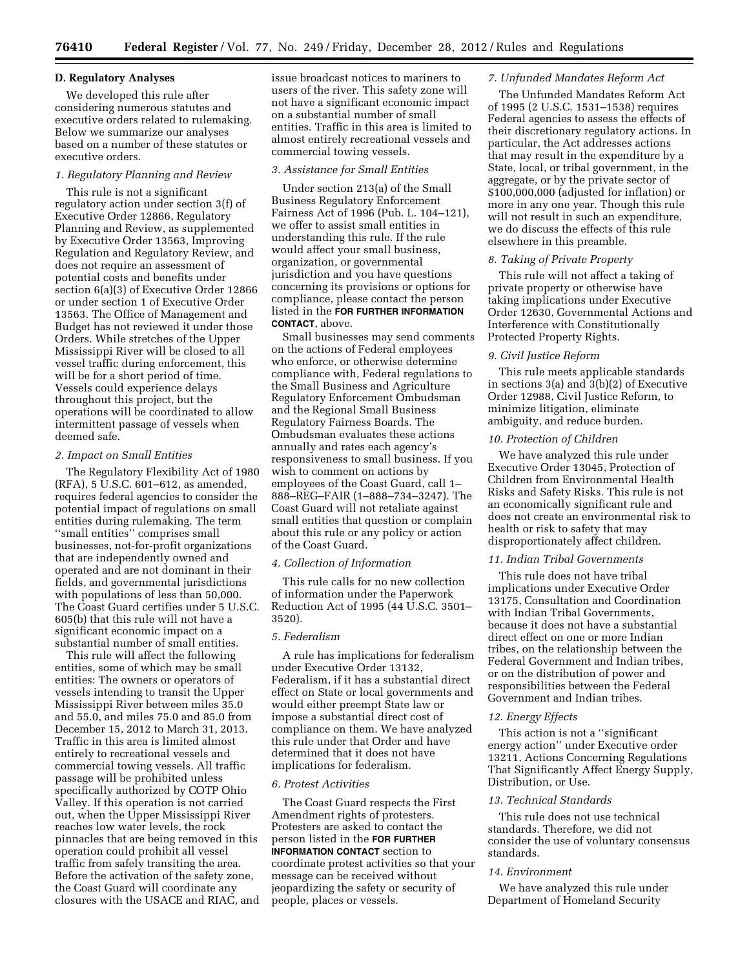## **D. Regulatory Analyses**

We developed this rule after considering numerous statutes and executive orders related to rulemaking. Below we summarize our analyses based on a number of these statutes or executive orders.

# *1. Regulatory Planning and Review*

This rule is not a significant regulatory action under section 3(f) of Executive Order 12866, Regulatory Planning and Review, as supplemented by Executive Order 13563, Improving Regulation and Regulatory Review, and does not require an assessment of potential costs and benefits under section 6(a)(3) of Executive Order 12866 or under section 1 of Executive Order 13563. The Office of Management and Budget has not reviewed it under those Orders. While stretches of the Upper Mississippi River will be closed to all vessel traffic during enforcement, this will be for a short period of time. Vessels could experience delays throughout this project, but the operations will be coordinated to allow intermittent passage of vessels when deemed safe.

#### *2. Impact on Small Entities*

The Regulatory Flexibility Act of 1980 (RFA), 5 U.S.C. 601–612, as amended, requires federal agencies to consider the potential impact of regulations on small entities during rulemaking. The term ''small entities'' comprises small businesses, not-for-profit organizations that are independently owned and operated and are not dominant in their fields, and governmental jurisdictions with populations of less than 50,000. The Coast Guard certifies under 5 U.S.C. 605(b) that this rule will not have a significant economic impact on a substantial number of small entities.

This rule will affect the following entities, some of which may be small entities: The owners or operators of vessels intending to transit the Upper Mississippi River between miles 35.0 and 55.0, and miles 75.0 and 85.0 from December 15, 2012 to March 31, 2013. Traffic in this area is limited almost entirely to recreational vessels and commercial towing vessels. All traffic passage will be prohibited unless specifically authorized by COTP Ohio Valley. If this operation is not carried out, when the Upper Mississippi River reaches low water levels, the rock pinnacles that are being removed in this operation could prohibit all vessel traffic from safely transiting the area. Before the activation of the safety zone, the Coast Guard will coordinate any closures with the USACE and RIAC, and issue broadcast notices to mariners to users of the river. This safety zone will not have a significant economic impact on a substantial number of small entities. Traffic in this area is limited to almost entirely recreational vessels and commercial towing vessels.

## *3. Assistance for Small Entities*

Under section 213(a) of the Small Business Regulatory Enforcement Fairness Act of 1996 (Pub. L. 104–121), we offer to assist small entities in understanding this rule. If the rule would affect your small business, organization, or governmental jurisdiction and you have questions concerning its provisions or options for compliance, please contact the person listed in the **FOR FURTHER INFORMATION CONTACT**, above.

Small businesses may send comments on the actions of Federal employees who enforce, or otherwise determine compliance with, Federal regulations to the Small Business and Agriculture Regulatory Enforcement Ombudsman and the Regional Small Business Regulatory Fairness Boards. The Ombudsman evaluates these actions annually and rates each agency's responsiveness to small business. If you wish to comment on actions by employees of the Coast Guard, call 1– 888–REG–FAIR (1–888–734–3247). The Coast Guard will not retaliate against small entities that question or complain about this rule or any policy or action of the Coast Guard.

#### *4. Collection of Information*

This rule calls for no new collection of information under the Paperwork Reduction Act of 1995 (44 U.S.C. 3501– 3520).

#### *5. Federalism*

A rule has implications for federalism under Executive Order 13132, Federalism, if it has a substantial direct effect on State or local governments and would either preempt State law or impose a substantial direct cost of compliance on them. We have analyzed this rule under that Order and have determined that it does not have implications for federalism.

#### *6. Protest Activities*

The Coast Guard respects the First Amendment rights of protesters. Protesters are asked to contact the person listed in the **FOR FURTHER INFORMATION CONTACT** section to coordinate protest activities so that your message can be received without jeopardizing the safety or security of people, places or vessels.

#### *7. Unfunded Mandates Reform Act*

The Unfunded Mandates Reform Act of 1995 (2 U.S.C. 1531–1538) requires Federal agencies to assess the effects of their discretionary regulatory actions. In particular, the Act addresses actions that may result in the expenditure by a State, local, or tribal government, in the aggregate, or by the private sector of \$100,000,000 (adjusted for inflation) or more in any one year. Though this rule will not result in such an expenditure, we do discuss the effects of this rule elsewhere in this preamble.

## *8. Taking of Private Property*

This rule will not affect a taking of private property or otherwise have taking implications under Executive Order 12630, Governmental Actions and Interference with Constitutionally Protected Property Rights.

## *9. Civil Justice Reform*

This rule meets applicable standards in sections 3(a) and 3(b)(2) of Executive Order 12988, Civil Justice Reform, to minimize litigation, eliminate ambiguity, and reduce burden.

#### *10. Protection of Children*

We have analyzed this rule under Executive Order 13045, Protection of Children from Environmental Health Risks and Safety Risks. This rule is not an economically significant rule and does not create an environmental risk to health or risk to safety that may disproportionately affect children.

# *11. Indian Tribal Governments*

This rule does not have tribal implications under Executive Order 13175, Consultation and Coordination with Indian Tribal Governments, because it does not have a substantial direct effect on one or more Indian tribes, on the relationship between the Federal Government and Indian tribes, or on the distribution of power and responsibilities between the Federal Government and Indian tribes.

#### *12. Energy Effects*

This action is not a ''significant energy action'' under Executive order 13211, Actions Concerning Regulations That Significantly Affect Energy Supply, Distribution, or Use.

#### *13. Technical Standards*

This rule does not use technical standards. Therefore, we did not consider the use of voluntary consensus standards.

#### *14. Environment*

We have analyzed this rule under Department of Homeland Security